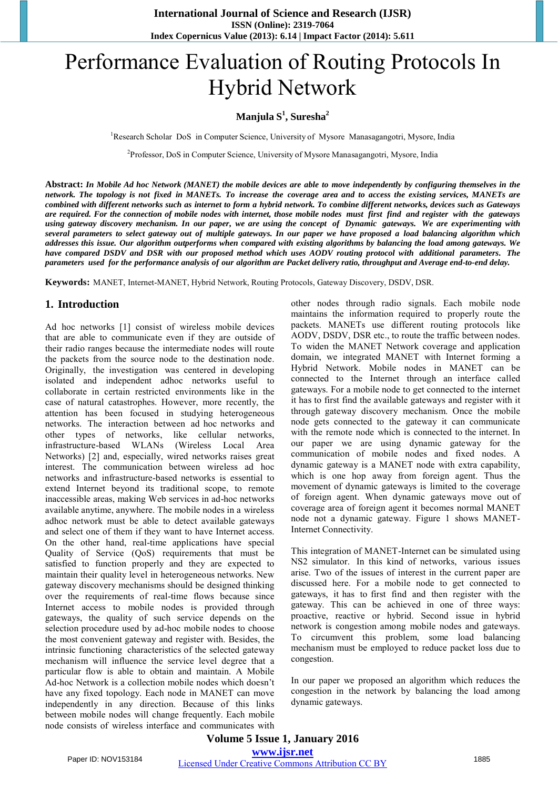# Performance Evaluation of Routing Protocols In Hybrid Network

## **Manjula S<sup>1</sup> , Suresha<sup>2</sup>**

<sup>1</sup>Research Scholar DoS in Computer Science, University of Mysore Manasagangotri, Mysore, India

<sup>2</sup>Professor, DoS in Computer Science, University of Mysore Manasagangotri, Mysore, India

**Abstract:** *In Mobile Ad hoc Network (MANET) the mobile devices are able to move independently by configuring themselves in the network. The topology is not fixed in MANETs. To increase the coverage area and to access the existing services, MANETs are combined with different networks such as internet to form a hybrid network. To combine different networks, devices such as Gateways are required. For the connection of mobile nodes with internet, those mobile nodes must first find and register with the gateways using gateway discovery mechanism. In our paper, we are using the concept of Dynamic gateways. We are experimenting with several parameters to select gateway out of multiple gateways. In our paper we have proposed a load balancing algorithm which addresses this issue. Our algorithm outperforms when compared with existing algorithms by balancing the load among gateways. We have compared DSDV and DSR with our proposed method which uses AODV routing protocol with additional parameters. The parameters used for the performance analysis of our algorithm are Packet delivery ratio, throughput and Average end-to-end delay.*

**Keywords:** MANET, Internet-MANET, Hybrid Network, Routing Protocols, Gateway Discovery, DSDV, DSR.

## **1. Introduction**

Ad hoc networks [1] consist of wireless mobile devices that are able to communicate even if they are outside of their radio ranges because the intermediate nodes will route the packets from the source node to the destination node. Originally, the investigation was centered in developing isolated and independent adhoc networks useful to collaborate in certain restricted environments like in the case of natural catastrophes. However, more recently, the attention has been focused in studying heterogeneous networks. The interaction between ad hoc networks and other types of networks, like cellular networks, infrastructure-based WLANs (Wireless Local Area Networks) [2] and, especially, wired networks raises great interest. The communication between wireless ad hoc networks and infrastructure-based networks is essential to extend Internet beyond its traditional scope, to remote inaccessible areas, making Web services in ad-hoc networks available anytime, anywhere. The mobile nodes in a wireless adhoc network must be able to detect available gateways and select one of them if they want to have Internet access. On the other hand, real-time applications have special Quality of Service (QoS) requirements that must be satisfied to function properly and they are expected to maintain their quality level in heterogeneous networks. New gateway discovery mechanisms should be designed thinking over the requirements of real-time flows because since Internet access to mobile nodes is provided through gateways, the quality of such service depends on the selection procedure used by ad-hoc mobile nodes to choose the most convenient gateway and register with. Besides, the intrinsic functioning characteristics of the selected gateway mechanism will influence the service level degree that a particular flow is able to obtain and maintain. A Mobile Ad-hoc Network is a collection mobile nodes which doesn't have any fixed topology. Each node in MANET can move independently in any direction. Because of this links between mobile nodes will change frequently. Each mobile node consists of wireless interface and communicates with other nodes through radio signals. Each mobile node maintains the information required to properly route the packets. MANETs use different routing protocols like AODV, DSDV, DSR etc., to route the traffic between nodes. To widen the MANET Network coverage and application domain, we integrated MANET with Internet forming a Hybrid Network. Mobile nodes in MANET can be connected to the Internet through an interface called gateways. For a mobile node to get connected to the internet it has to first find the available gateways and register with it through gateway discovery mechanism. Once the mobile node gets connected to the gateway it can communicate with the remote node which is connected to the internet. In our paper we are using dynamic gateway for the communication of mobile nodes and fixed nodes. A dynamic gateway is a MANET node with extra capability, which is one hop away from foreign agent. Thus the movement of dynamic gateways is limited to the coverage of foreign agent. When dynamic gateways move out of coverage area of foreign agent it becomes normal MANET node not a dynamic gateway. Figure 1 shows MANET-Internet Connectivity.

This integration of MANET-Internet can be simulated using NS2 simulator. In this kind of networks, various issues arise. Two of the issues of interest in the current paper are discussed here. For a mobile node to get connected to gateways, it has to first find and then register with the gateway. This can be achieved in one of three ways: proactive, reactive or hybrid. Second issue in hybrid network is congestion among mobile nodes and gateways. To circumvent this problem, some load balancing mechanism must be employed to reduce packet loss due to congestion.

In our paper we proposed an algorithm which reduces the congestion in the network by balancing the load among dynamic gateways.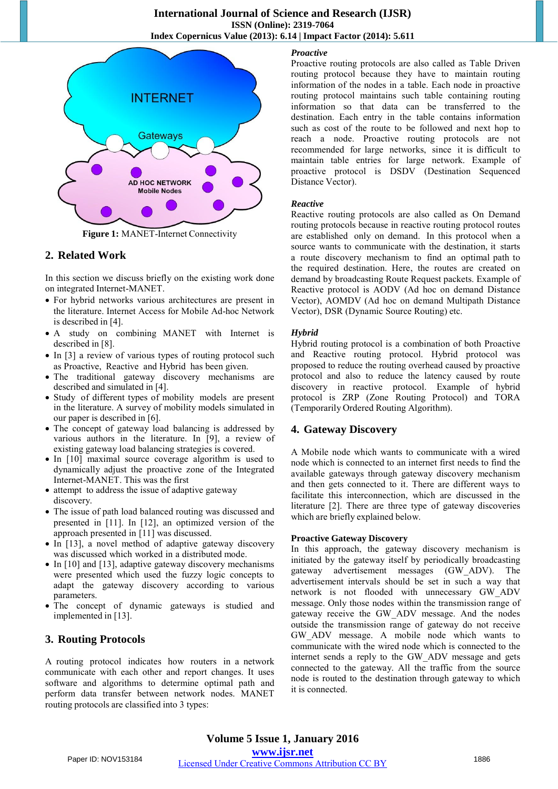

**Figure 1:** MANET-Internet Connectivity

#### **2. Related Work**

In this section we discuss briefly on the existing work done on integrated Internet-MANET.

- For hybrid networks various architectures are present in the literature. Internet Access for Mobile Ad-hoc Network is described in [4].
- A study on combining MANET with Internet is described in [8].
- In [3] a review of various types of routing protocol such as Proactive, Reactive and Hybrid has been given.
- The traditional gateway discovery mechanisms are described and simulated in [4].
- Study of different types of mobility models are present in the literature. A survey of mobility models simulated in our paper is described in [6].
- The concept of gateway load balancing is addressed by various authors in the literature. In [9], a review of existing gateway load balancing strategies is covered.
- In [10] maximal source coverage algorithm is used to dynamically adjust the proactive zone of the Integrated Internet-MANET. This was the first
- attempt to address the issue of adaptive gateway discovery.
- The issue of path load balanced routing was discussed and presented in [11]. In [12], an optimized version of the approach presented in [11] was discussed.
- In [13], a novel method of adaptive gateway discovery was discussed which worked in a distributed mode.
- In [10] and [13], adaptive gateway discovery mechanisms were presented which used the fuzzy logic concepts to adapt the gateway discovery according to various parameters.
- The concept of dynamic gateways is studied and implemented in [13].

## **3. Routing Protocols**

A routing protocol indicates how routers in a network communicate with each other and report changes. It uses software and algorithms to determine optimal path and perform data transfer between network nodes. MANET routing protocols are classified into 3 types:

#### *Proactive*

Proactive routing protocols are also called as Table Driven routing protocol because they have to maintain routing information of the nodes in a table. Each node in proactive routing protocol maintains such table containing routing information so that data can be transferred to the destination. Each entry in the table contains information such as cost of the route to be followed and next hop to reach a node. Proactive routing protocols are not recommended for large networks, since it is difficult to maintain table entries for large network. Example of proactive protocol is DSDV (Destination Sequenced Distance Vector).

#### *Reactive*

Reactive routing protocols are also called as On Demand routing protocols because in reactive routing protocol routes are established only on demand. In this protocol when a source wants to communicate with the destination, it starts a route discovery mechanism to find an optimal path to the required destination. Here, the routes are created on demand by broadcasting Route Request packets. Example of Reactive protocol is AODV (Ad hoc on demand Distance Vector), AOMDV (Ad hoc on demand Multipath Distance Vector), DSR (Dynamic Source Routing) etc.

#### *Hybrid*

Hybrid routing protocol is a combination of both Proactive and Reactive routing protocol. Hybrid protocol was proposed to reduce the routing overhead caused by proactive protocol and also to reduce the latency caused by route discovery in reactive protocol. Example of hybrid protocol is ZRP (Zone Routing Protocol) and TORA (Temporarily Ordered Routing Algorithm).

### **4. Gateway Discovery**

A Mobile node which wants to communicate with a wired node which is connected to an internet first needs to find the available gateways through gateway discovery mechanism and then gets connected to it. There are different ways to facilitate this interconnection, which are discussed in the literature [2]. There are three type of gateway discoveries which are briefly explained below.

#### **Proactive Gateway Discovery**

In this approach, the gateway discovery mechanism is initiated by the gateway itself by periodically broadcasting gateway advertisement messages (GW\_ADV). The advertisement intervals should be set in such a way that network is not flooded with unnecessary GW\_ADV message. Only those nodes within the transmission range of gateway receive the GW\_ADV message. And the nodes outside the transmission range of gateway do not receive GW\_ADV message. A mobile node which wants to communicate with the wired node which is connected to the internet sends a reply to the GW\_ADV message and gets connected to the gateway. All the traffic from the source node is routed to the destination through gateway to which it is connected.

**Volume 5 Issue 1, January 2016 www.ijsr.net** Paper ID: NOV153184 Licensed Under Creative Commons Attribution CC BY 1886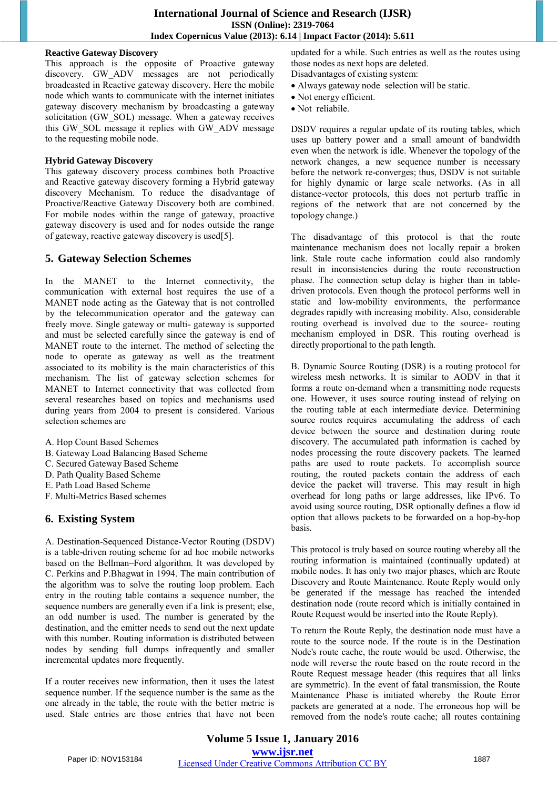#### **Reactive Gateway Discovery**

This approach is the opposite of Proactive gateway discovery. GW\_ADV messages are not periodically broadcasted in Reactive gateway discovery. Here the mobile node which wants to communicate with the internet initiates gateway discovery mechanism by broadcasting a gateway solicitation (GW\_SOL) message. When a gateway receives this GW\_SOL message it replies with GW\_ADV message to the requesting mobile node.

#### **Hybrid Gateway Discovery**

This gateway discovery process combines both Proactive and Reactive gateway discovery forming a Hybrid gateway discovery Mechanism. To reduce the disadvantage of Proactive/Reactive Gateway Discovery both are combined. For mobile nodes within the range of gateway, proactive gateway discovery is used and for nodes outside the range of gateway, reactive gateway discovery is used[5].

## **5. Gateway Selection Schemes**

In the MANET to the Internet connectivity, the communication with external host requires the use of a MANET node acting as the Gateway that is not controlled by the telecommunication operator and the gateway can freely move. Single gateway or multi- gateway is supported and must be selected carefully since the gateway is end of MANET route to the internet. The method of selecting the node to operate as gateway as well as the treatment associated to its mobility is the main characteristics of this mechanism. The list of gateway selection schemes for MANET to Internet connectivity that was collected from several researches based on topics and mechanisms used during years from 2004 to present is considered. Various selection schemes are

- A. Hop Count Based Schemes
- B. Gateway Load Balancing Based Scheme
- C. Secured Gateway Based Scheme
- D. Path Quality Based Scheme
- E. Path Load Based Scheme
- F. Multi-Metrics Based schemes

# **6. Existing System**

A. Destination-Sequenced Distance-Vector Routing (DSDV) is a table-driven routing scheme for [ad hoc mobile networks](https://en.wikipedia.org/wiki/Mobile_ad_hoc_network)  based on the [Bellman–Ford algorithm. It](https://en.wikipedia.org/wiki/Bellman�) was developed by C. Perkins and P.Bhagwat in 1994. The main contribution of the algorithm was to solve the [routing loop problem. Eac](https://en.wikipedia.org/wiki/Routing_loop_problem)h entry in the routing table contains a sequence number, the sequence numbers are generally even if a link is present; else, an odd number is used. The number is generated by the destination, and the emitter needs to send out the next update with this number. Routing information is distributed between nodes by sending full dumps infrequently and smaller incremental updates more frequently.

If a router receives new information, then it uses the latest sequence number. If the sequence number is the same as the one already in the table, the route with the better metric is used. Stale entries are those entries that have not been updated for a while. Such entries as well as the routes using those nodes as next hops are deleted.

- Disadvantages of existing system:
- Always gateway node selection will be static.
- Not energy efficient.
- Not reliabile.

DSDV requires a regular update of its routing tables, which uses up battery power and a small amount of bandwidth even when the network is idle. Whenever the topology of the network changes, a new sequence number is necessary before the network re-converges; thus, DSDV is not suitable for highly dynamic or large scale networks. (As in all distance-vector protocols, this does not perturb traffic in regions of the network that are not concerned by the topology change.)

The disadvantage of this protocol is that the route maintenance mechanism does not locally repair a broken link. Stale route cache information could also randomly result in inconsistencies during the route reconstruction phase. The connection setup delay is higher than in tabledriven protocols. Even though the protocol performs well in static and low-mobility environments, the performance degrades rapidly with increasing mobility. Also, considerable routing overhead is involved due to the source- routing mechanism employed in DSR. This routing overhead is directly proportional to the path length.

B. Dynamic Source Routing (DSR) is a [routing protocol](https://en.wikipedia.org/wiki/Routing) for [wireless mesh networks. It](https://en.wikipedia.org/wiki/Wireless_mesh_network) is similar to [AODV](https://en.wikipedia.org/wiki/AODV) in that it forms a route on-demand when a transmitting node requests one. However, it uses source [routing in](https://en.wikipedia.org/wiki/Source_routing)stead of relying on the routing table at each intermediate device. Determining source routes requires accumulating the address of each device between the source and destination during route discovery. The accumulated path information is [cached by](https://en.wikipedia.org/wiki/Cache_(computing)) nodes processing the route discovery [packets. Th](https://en.wikipedia.org/wiki/Packet_(information_technology))e learned paths are used to route packets. To accomplish source routing, the routed packets contain the address of each device the packet will traverse. This may result in high overhead for long paths or large addresses, like [IPv6. To](https://en.wikipedia.org/wiki/IPv6) avoid using source routing, DSR optionally defines a flow id option that allows packets to be forwarded on a hop-by-hop basis.

This protocol is truly based on source routing whereby all the routing information is maintained (continually updated) at mobile nodes. It has only two major phases, which are Route Discovery and Route Maintenance. Route Reply would only be generated if the message has reached the intended destination node (route record which is initially contained in Route Request would be inserted into the Route Reply).

To return the Route Reply, the destination node must have a route to the source node. If the route is in the Destination Node's route cache, the route would be used. Otherwise, the node will reverse the route based on the route record in the Route Request message header (this requires that all links are symmetric). In the event of fatal transmission, the Route Maintenance Phase is initiated whereby the Route Error packets are generated at a node. The erroneous hop will be removed from the node's route cache; all routes containing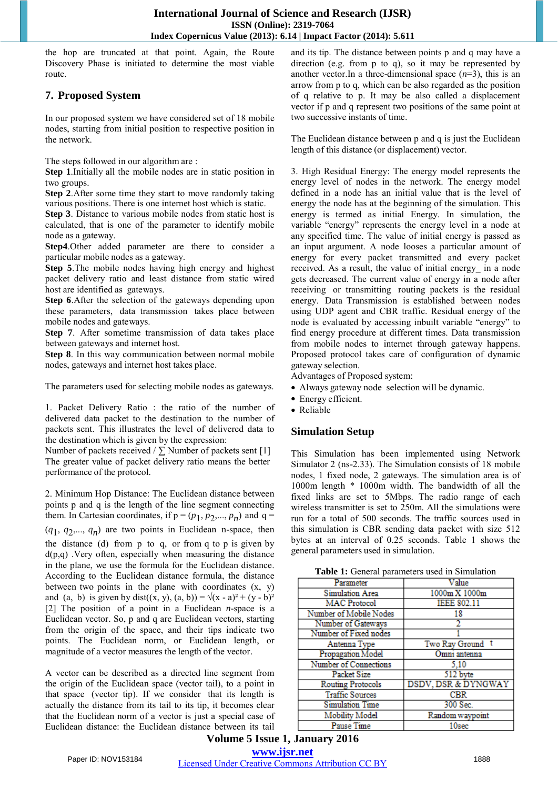the hop are truncated at that point. Again, the Route Discovery Phase is initiated to determine the most viable route.

# **7. Proposed System**

In our proposed system we have considered set of 18 mobile nodes, starting from initial position to respective position in the network.

The steps followed in our algorithm are :

**Step 1**.Initially all the mobile nodes are in static position in two groups.

**Step 2**.After some time they start to move randomly taking various positions. There is one internet host which is static.

**Step 3**. Distance to various mobile nodes from static host is calculated, that is one of the parameter to identify mobile node as a gateway.

**Step4**.Other added parameter are there to consider a particular mobile nodes as a gateway.

**Step 5**.The mobile nodes having high energy and highest packet delivery ratio and least distance from static wired host are identified as gateways.

**Step 6**.After the selection of the gateways depending upon these parameters, data transmission takes place between mobile nodes and gateways.

**Step 7**. After sometime transmission of data takes place between gateways and internet host.

**Step 8**. In this way communication between normal mobile nodes, gateways and internet host takes place.

The parameters used for selecting mobile nodes as gateways.

1. Packet Delivery Ratio : the ratio of the number of delivered data packet to the destination to the number of packets sent. This illustrates the level of delivered data to the destination which is given by the expression:

Number of packets received /  $\Sigma$  Number of packets sent [1] The greater value of packet delivery ratio means the better performance of the protocol.

2. Minimum Hop Distance: The Euclidean distance between points p and q is the length of the [line segment](https://en.wikipedia.org/wiki/Line_segment) connecting them. In Cartesian coordinates, if  $p = (p_1, p_2,..., p_n)$  and  $q =$  $(q_1, q_2,..., q_n)$  are two points i[n Euclidean n-space, th](https://en.wikipedia.org/wiki/Euclidean_space)en the distance (d) from p to q, or from q to p is given by  $d(p,q)$ . Very often, especially when measuring the distance in the plane, we use the formula for the [Euclidean distance.](http://www.cut-the-knot.org/do_you_know/far_near.shtml#euclidean)  [Acc](http://www.cut-the-knot.org/do_you_know/far_near.shtml#euclidean)ording to the Euclidean distance formula, the distance between two points in the plane with coordinates  $(x, y)$ and (a, b) is given by dist((x, y), (a, b)) =  $\sqrt{(x - a)^2 + (y - b)^2}$ [2] The position of a point in a Euclidean *n*-space is a [Euclidean vector. So](https://en.wikipedia.org/wiki/Euclidean_vector), p and q are Euclidean vectors, starting from the origin of the space, and their tips indicate two points. The [Euclidean norm, or](https://en.wikipedia.org/wiki/Euclidean_norm) Euclidean length, or magnitude of a vector measures the length of the vector.

A vector can be described as a directed line segment from the [origin of](https://en.wikipedia.org/wiki/Origin_%28mathematics%29) the Euclidean space (vector tail), to a point in that space (vector tip). If we consider that its length is actually the distance from its tail to its tip, it becomes clear that the Euclidean norm of a vector is just a special case of Euclidean distance: the Euclidean distance between its tail and its tip. The distance between points p and q may have a direction (e.g. from p to q), so it may be represented by another vector.In a three-dimensional space  $(n=3)$ , this is an arrow from p to q, which can be also regarded as the position of q relative to p. It may be also called [a displacement](https://en.wikipedia.org/wiki/Displacement_%28vector%29)  [ve](https://en.wikipedia.org/wiki/Displacement_%28vector%29)ctor if p and q represent two positions of the same point at two successive instants of time.

The Euclidean distance between p and q is just the Euclidean length of this distance (or displacement) vector.

3. High Residual Energy: The energy model represents the energy level of nodes in the network. The energy model defined in a node has an initial value that is the level of energy the node has at the beginning of the simulation. This energy is termed as initial Energy. In simulation, the variable "energy" represents the energy level in a node at any specified time. The value of initial energy is passed as an input argument. A node looses a particular amount of energy for every packet transmitted and every packet received. As a result, the value of initial energy\_ in a node gets decreased. The current value of energy in a node after receiving or transmitting routing packets is the residual energy. Data Transmission is established between nodes using UDP agent and CBR traffic. Residual energy of the node is evaluated by accessing inbuilt variable "energy" to find energy procedure at different times. Data transmission from mobile nodes to internet through gateway happens. Proposed protocol takes care of configuration of dynamic gateway selection.

Advantages of Proposed system:

- Always gateway node selection will be dynamic.
- Energy efficient.
- Reliable

# **Simulation Setup**

This Simulation has been implemented using Network Simulator 2 (ns-2.33). The Simulation consists of 18 mobile nodes, 1 fixed node, 2 gateways. The simulation area is of 1000m length \* 1000m width. The bandwidth of all the fixed links are set to 5Mbps. The radio range of each wireless transmitter is set to 250m. All the simulations were run for a total of 500 seconds. The traffic sources used in this simulation is CBR sending data packet with size 512 bytes at an interval of 0.25 seconds. Table 1 shows the general parameters used in simulation.

**Table 1:** General parameters used in Simulation

| $\mathbf{u}$ and $\mathbf{u}$ , $\mathbf{v}$ and $\mathbf{v}$ and $\mathbf{u}$ and $\mathbf{u}$ are $\mathbf{u}$ in strive and $\mathbf{u}$ |                                |
|---------------------------------------------------------------------------------------------------------------------------------------------|--------------------------------|
| Parameter                                                                                                                                   | Value                          |
| Simulation Area                                                                                                                             | 1000m X 1000m                  |
| <b>MAC</b> Protocol                                                                                                                         | <b>IEEE 802.11</b>             |
| Number of Mobile Nodes                                                                                                                      | 18                             |
| Number of Gateways                                                                                                                          |                                |
| Number of Fixed nodes                                                                                                                       |                                |
| Antenna Type                                                                                                                                | Two Ray Ground t               |
| Propagation Model                                                                                                                           | Omni antenna                   |
| Number of Connections                                                                                                                       | 5.10                           |
| Packet Size                                                                                                                                 | 512 byte                       |
| <b>Routing Protocols</b>                                                                                                                    | <b>DSDV, DSR &amp; DYNGWAY</b> |
| <b>Traffic Sources</b>                                                                                                                      | CBR                            |
| <b>Simulation Time</b>                                                                                                                      | 300 Sec.                       |
| <b>Mobility Model</b>                                                                                                                       | Random waypoint                |
| Pause Time                                                                                                                                  | 10sec                          |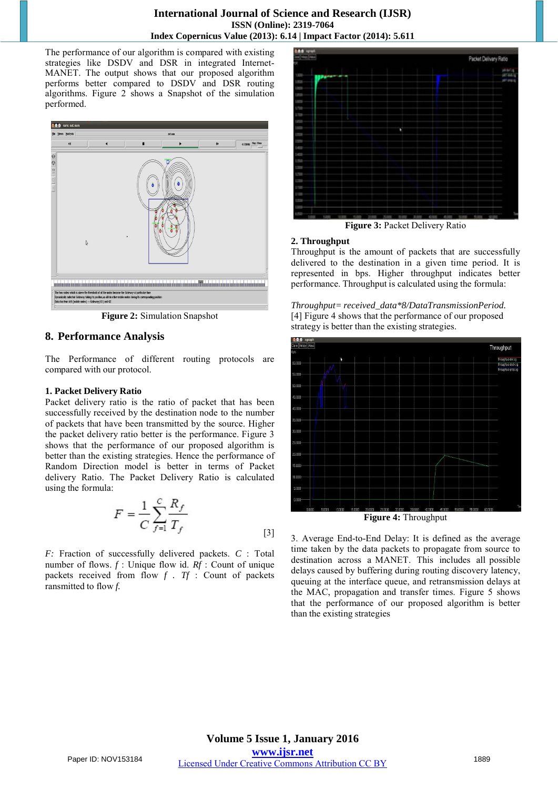#### **International Journal of Science and Research (IJSR) ISSN (Online): 2319-7064 Index Copernicus Value (2013): 6.14 | Impact Factor (2014): 5.611**

The performance of our algorithm is compared with existing strategies like DSDV and DSR in integrated Internet-MANET. The output shows that our proposed algorithm performs better compared to DSDV and DSR routing algorithms. Figure 2 shows a Snapshot of the simulation performed.



**Figure 2:** Simulation Snapshot

## **8. Performance Analysis**

The Performance of different routing protocols are compared with our protocol.

#### **1. Packet Delivery Ratio**

Packet delivery ratio is the ratio of packet that has been successfully received by the destination node to the number of packets that have been transmitted by the source. Higher the packet delivery ratio better is the performance. Figure 3 shows that the performance of our proposed algorithm is better than the existing strategies. Hence the performance of Random Direction model is better in terms of Packet delivery Ratio. The Packet Delivery Ratio is calculated using the formula:

$$
F = \frac{1}{C} \sum_{f=1}^{C} \frac{R_f}{T_f} \tag{3}
$$

*F:* Fraction of successfully delivered packets. *C* : Total number of flows. *f* : Unique flow id. *Rf* : Count of unique packets received from flow *f . Tf* : Count of packets ransmitted to flow *f.*



**Figure 3:** Packet Delivery Ratio

#### **2. Throughput**

Throughput is the amount of packets that are successfully delivered to the destination in a given time period. It is represented in bps. Higher throughput indicates better performance. Throughput is calculated using the formula:

*Throughput= received\_data\*8/DataTransmissionPeriod.* [4] Figure 4 shows that the performance of our proposed strategy is better than the existing strategies.



**Figure 4:** Throughput

3. Average End-to-End Delay: It is defined as the average time taken by the data packets to propagate from source to destination across a MANET. This includes all possible delays caused by buffering during routing discovery latency, queuing at the interface queue, and retransmission delays at the MAC, propagation and transfer times. Figure 5 shows that the performance of our proposed algorithm is better than the existing strategies